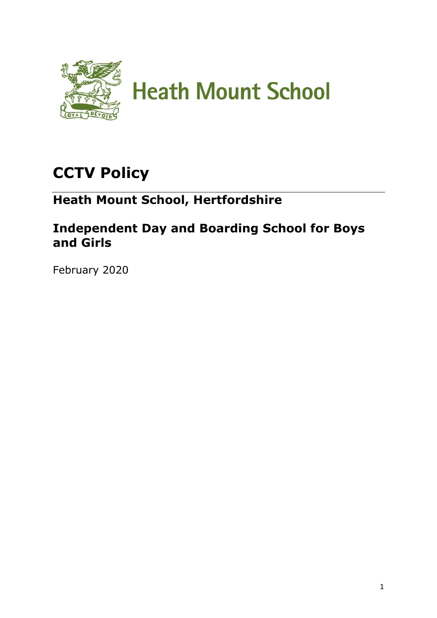

# **CCTV Policy**

## **Heath Mount School, Hertfordshire**

### **Independent Day and Boarding School for Boys and Girls**

February 2020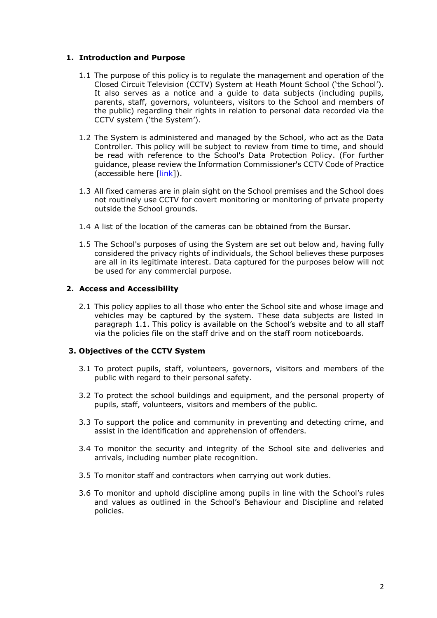#### **1. Introduction and Purpose**

- 1.1 The purpose of this policy is to regulate the management and operation of the Closed Circuit Television (CCTV) System at Heath Mount School ('the School'). It also serves as a notice and a guide to data subjects (including pupils, parents, staff, governors, volunteers, visitors to the School and members of the public) regarding their rights in relation to personal data recorded via the CCTV system ('the System').
- 1.2 The System is administered and managed by the School, who act as the Data Controller. This policy will be subject to review from time to time, and should be read with reference to the School's Data Protection Policy. (For further guidance, please review the Information Commissioner's CCTV Code of Practice (accessible here [\[link\]](https://ico.org.uk/media/for-organisations/documents/1542/cctv-code-of-practice.pdf)).
- 1.3 All fixed cameras are in plain sight on the School premises and the School does not routinely use CCTV for covert monitoring or monitoring of private property outside the School grounds.
- 1.4 A list of the location of the cameras can be obtained from the Bursar.
- 1.5 The School's purposes of using the System are set out below and, having fully considered the privacy rights of individuals, the School believes these purposes are all in its legitimate interest. Data captured for the purposes below will not be used for any commercial purpose.

#### **2. Access and Accessibility**

2.1 This policy applies to all those who enter the School site and whose image and vehicles may be captured by the system. These data subjects are listed in paragraph 1.1. This policy is available on the School's website and to all staff via the policies file on the staff drive and on the staff room noticeboards.

#### **3. Objectives of the CCTV System**

- 3.1 To protect pupils, staff, volunteers, governors, visitors and members of the public with regard to their personal safety.
- 3.2 To protect the school buildings and equipment, and the personal property of pupils, staff, volunteers, visitors and members of the public.
- 3.3 To support the police and community in preventing and detecting crime, and assist in the identification and apprehension of offenders.
- 3.4 To monitor the security and integrity of the School site and deliveries and arrivals, including number plate recognition.
- 3.5 To monitor staff and contractors when carrying out work duties.
- 3.6 To monitor and uphold discipline among pupils in line with the School's rules and values as outlined in the School's Behaviour and Discipline and related policies.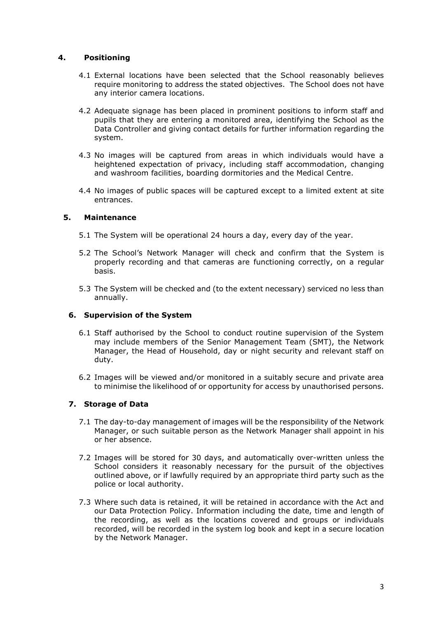#### **4. Positioning**

- 4.1 External locations have been selected that the School reasonably believes require monitoring to address the stated objectives. The School does not have any interior camera locations.
- 4.2 Adequate signage has been placed in prominent positions to inform staff and pupils that they are entering a monitored area, identifying the School as the Data Controller and giving contact details for further information regarding the system.
- 4.3 No images will be captured from areas in which individuals would have a heightened expectation of privacy, including staff accommodation, changing and washroom facilities, boarding dormitories and the Medical Centre.
- 4.4 No images of public spaces will be captured except to a limited extent at site entrances.

#### **5. Maintenance**

- 5.1 The System will be operational 24 hours a day, every day of the year.
- 5.2 The School's Network Manager will check and confirm that the System is properly recording and that cameras are functioning correctly, on a regular basis.
- 5.3 The System will be checked and (to the extent necessary) serviced no less than annually.

#### **6. Supervision of the System**

- 6.1 Staff authorised by the School to conduct routine supervision of the System may include members of the Senior Management Team (SMT), the Network Manager, the Head of Household, day or night security and relevant staff on duty.
- 6.2 Images will be viewed and/or monitored in a suitably secure and private area to minimise the likelihood of or opportunity for access by unauthorised persons.

#### **7. Storage of Data**

- 7.1 The day-to-day management of images will be the responsibility of the Network Manager, or such suitable person as the Network Manager shall appoint in his or her absence.
- 7.2 Images will be stored for 30 days, and automatically over-written unless the School considers it reasonably necessary for the pursuit of the objectives outlined above, or if lawfully required by an appropriate third party such as the police or local authority.
- 7.3 Where such data is retained, it will be retained in accordance with the Act and our Data Protection Policy. Information including the date, time and length of the recording, as well as the locations covered and groups or individuals recorded, will be recorded in the system log book and kept in a secure location by the Network Manager.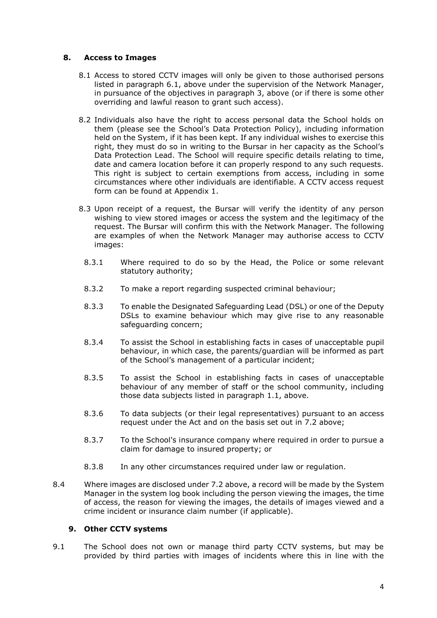#### **8. Access to Images**

- 8.1 Access to stored CCTV images will only be given to those authorised persons listed in paragraph 6.1, above under the supervision of the Network Manager, in pursuance of the objectives in paragraph 3, above (or if there is some other overriding and lawful reason to grant such access).
- 8.2 Individuals also have the right to access personal data the School holds on them (please see the School's Data Protection Policy), including information held on the System, if it has been kept. If any individual wishes to exercise this right, they must do so in writing to the Bursar in her capacity as the School's Data Protection Lead. The School will require specific details relating to time, date and camera location before it can properly respond to any such requests. This right is subject to certain exemptions from access, including in some circumstances where other individuals are identifiable. A CCTV access request form can be found at Appendix 1.
- 8.3 Upon receipt of a request, the Bursar will verify the identity of any person wishing to view stored images or access the system and the legitimacy of the request. The Bursar will confirm this with the Network Manager. The following are examples of when the Network Manager may authorise access to CCTV images:
	- 8.3.1 Where required to do so by the Head, the Police or some relevant statutory authority;
	- 8.3.2 To make a report regarding suspected criminal behaviour;
	- 8.3.3 To enable the Designated Safeguarding Lead (DSL) or one of the Deputy DSLs to examine behaviour which may give rise to any reasonable safeguarding concern;
	- 8.3.4 To assist the School in establishing facts in cases of unacceptable pupil behaviour, in which case, the parents/guardian will be informed as part of the School's management of a particular incident;
	- 8.3.5 To assist the School in establishing facts in cases of unacceptable behaviour of any member of staff or the school community, including those data subjects listed in paragraph 1.1, above.
	- 8.3.6 To data subjects (or their legal representatives) pursuant to an access request under the Act and on the basis set out in 7.2 above;
	- 8.3.7 To the School's insurance company where required in order to pursue a claim for damage to insured property; or
	- 8.3.8 In any other circumstances required under law or regulation.
- 8.4 Where images are disclosed under 7.2 above, a record will be made by the System Manager in the system log book including the person viewing the images, the time of access, the reason for viewing the images, the details of images viewed and a crime incident or insurance claim number (if applicable).

#### **9. Other CCTV systems**

9.1 The School does not own or manage third party CCTV systems, but may be provided by third parties with images of incidents where this in line with the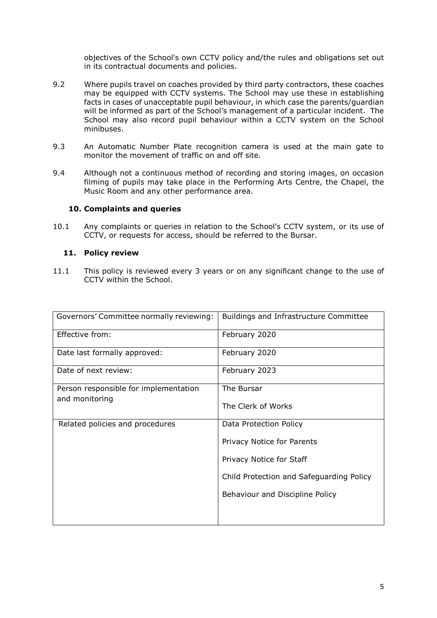objectives of the School's own CCTV policy and/the rules and obligations set out in its contractual documents and policies.

- 9.2 Where pupils travel on coaches provided by third party contractors, these coaches may be equipped with CCTV systems. The School may use these in establishing facts in cases of unacceptable pupil behaviour, in which case the parents/guardian will be informed as part of the School's management of a particular incident. The School may also record pupil behaviour within a CCTV system on the School minibuses.
- 9.3 An Automatic Number Plate recognition camera is used at the main gate to monitor the movement of traffic on and off site.
- 9.4 Although not a continuous method of recording and storing images, on occasion filming of pupils may take place in the Performing Arts Centre, the Chapel, the Music Room and any other performance area.

#### **10. Complaints and queries**

10.1 Any complaints or queries in relation to the School's CCTV system, or its use of CCTV, or requests for access, should be referred to the Bursar.

#### **11. Policy review**

11.1 This policy is reviewed every 3 years or on any significant change to the use of CCTV within the School.

| Governors' Committee normally reviewing:                | Buildings and Infrastructure Committee   |
|---------------------------------------------------------|------------------------------------------|
| Effective from:                                         | February 2020                            |
| Date last formally approved:                            | February 2020                            |
| Date of next review:                                    | February 2023                            |
| Person responsible for implementation<br>and monitoring | The Bursar                               |
|                                                         | The Clerk of Works                       |
| Related policies and procedures                         | Data Protection Policy                   |
|                                                         | Privacy Notice for Parents               |
|                                                         | Privacy Notice for Staff                 |
|                                                         | Child Protection and Safeguarding Policy |
|                                                         | Behaviour and Discipline Policy          |
|                                                         |                                          |